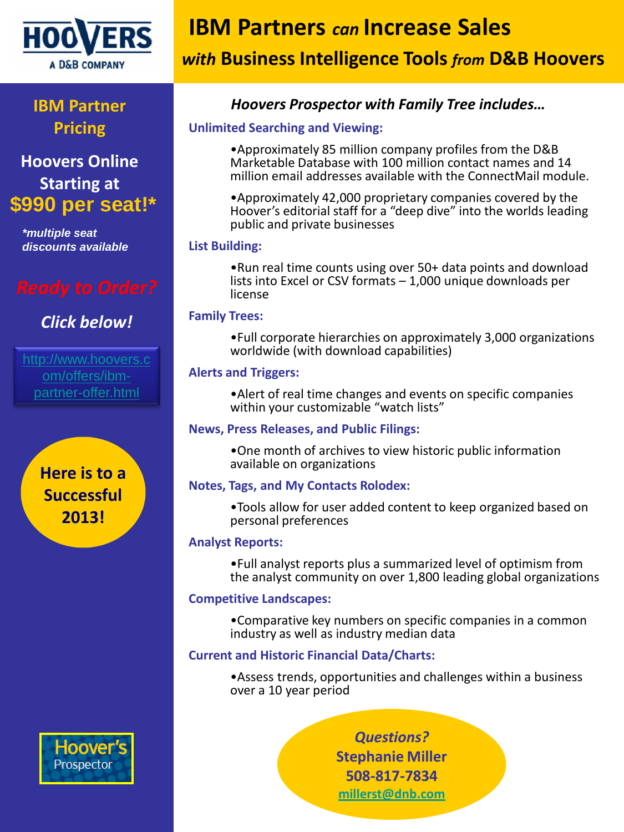

## **IBM Partner Pricing**

**Hoovers Online Starting at \$990 per seat!\***

*\*multiple seat discounts available*

## *Click below!*

[om/offers/ibm](http://www.hoovers.com/offers/ibm-partner-offer.html)[partner-offer.html](http://www.hoovers.com/offers/ibm-partner-offer.html)

> **Here is to a Successful 2013!**

# **IBM Partners** *can* **Increase Sales**

# *with* **Business Intelligence Tools** *from* **D&B Hoovers**

## *Hoovers Prospector with Family Tree includes…*

#### **Unlimited Searching and Viewing:**

•Approximately 85 million company profiles from the D&B Marketable Database with 100 million contact names and 14 million email addresses available with the ConnectMail module.

•Approximately 42,000 proprietary companies covered by the Hoover's editorial staff for a "deep dive" into the worlds leading public and private businesses

#### **List Building:**

•Run real time counts using over 50+ data points and download lists into Excel or CSV formats – 1,000 unique downloads per license

#### **Family Trees:**

•Full corporate hierarchies on approximately 3,000 organizations worldwide (with download capabilities)

#### **Alerts and Triggers:**

•Alert of real time changes and events on specific companies within your customizable "watch lists"

#### **News, Press Releases, and Public Filings:**

•One month of archives to view historic public information available on organizations

#### **Notes, Tags, and My Contacts Rolodex:**

•Tools allow for user added content to keep organized based on personal preferences

#### **Analyst Reports:**

•Full analyst reports plus a summarized level of optimism from the analyst community on over 1,800 leading global organizations

#### **Competitive Landscapes:**

•Comparative key numbers on specific companies in a common industry as well as industry median data

#### **Current and Historic Financial Data/Charts:**

•Assess trends, opportunities and challenges within a business over a 10 year period

> *Questions?* **Stephanie Miller 508-817-7834 [millerst@dnb.com](mailto:millerst@dnb.com)**